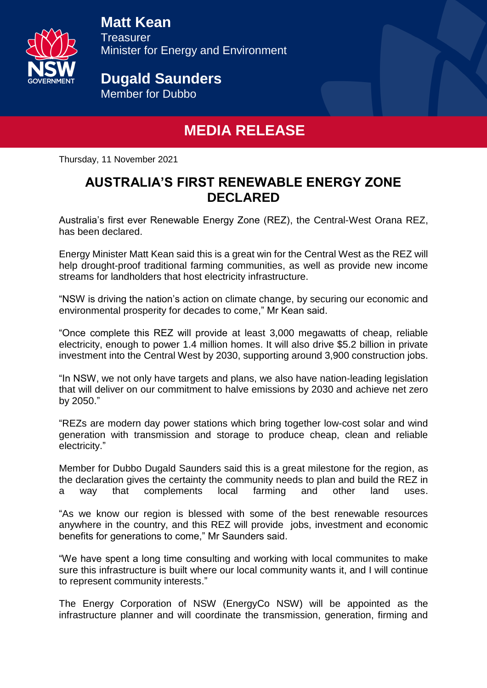

# **Matt Kean**

**Treasurer** Minister for Energy and Environment

# **Dugald Saunders**

Member for Dubbo

## **MEDIA RELEASE**

Thursday, 11 November 2021

#### **AUSTRALIA'S FIRST RENEWABLE ENERGY ZONE DECLARED**

Australia's first ever Renewable Energy Zone (REZ), the Central-West Orana REZ, has been declared.

Energy Minister Matt Kean said this is a great win for the Central West as the REZ will help drought-proof traditional farming communities, as well as provide new income streams for landholders that host electricity infrastructure.

"NSW is driving the nation's action on climate change, by securing our economic and environmental prosperity for decades to come," Mr Kean said.

"Once complete this REZ will provide at least 3,000 megawatts of cheap, reliable electricity, enough to power 1.4 million homes. It will also drive \$5.2 billion in private investment into the Central West by 2030, supporting around 3,900 construction jobs.

"In NSW, we not only have targets and plans, we also have nation-leading legislation that will deliver on our commitment to halve emissions by 2030 and achieve net zero by 2050."

"REZs are modern day power stations which bring together low-cost solar and wind generation with transmission and storage to produce cheap, clean and reliable electricity."

Member for Dubbo Dugald Saunders said this is a great milestone for the region, as the declaration gives the certainty the community needs to plan and build the REZ in a way that complements local farming and other land uses.

"As we know our region is blessed with some of the best renewable resources anywhere in the country, and this REZ will provide jobs, investment and economic benefits for generations to come," Mr Saunders said.

"We have spent a long time consulting and working with local communites to make sure this infrastructure is built where our local community wants it, and I will continue to represent community interests."

The Energy Corporation of NSW (EnergyCo NSW) will be appointed as the infrastructure planner and will coordinate the transmission, generation, firming and